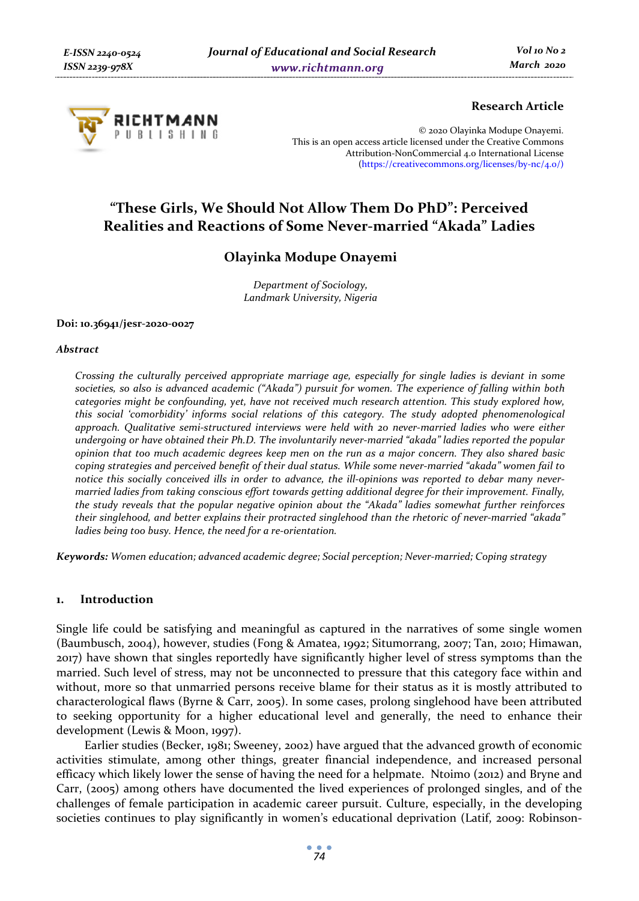

### **Research Article**

© 2020 Olayinka Modupe Onayemi. This is an open access article licensed under the Creative Commons Attribution-NonCommercial 4.0 International License (https://creativecommons.org/licenses/by-nc/4.0/)

# **"These Girls, We Should Not Allow Them Do PhD": Perceived Realities and Reactions of Some Never-married "Akada" Ladies**

## **Olayinka Modupe Onayemi**

*Department of Sociology, Landmark University, Nigeria* 

### **Doi: 10.36941/jesr-2020-0027**

### *Abstract*

*Crossing the culturally perceived appropriate marriage age, especially for single ladies is deviant in some societies, so also is advanced academic ("Akada") pursuit for women. The experience of falling within both categories might be confounding, yet, have not received much research attention. This study explored how, this social 'comorbidity' informs social relations of this category. The study adopted phenomenological approach. Qualitative semi-structured interviews were held with 20 never-married ladies who were either undergoing or have obtained their Ph.D. The involuntarily never-married "akada" ladies reported the popular opinion that too much academic degrees keep men on the run as a major concern. They also shared basic coping strategies and perceived benefit of their dual status. While some never-married "akada" women fail to notice this socially conceived ills in order to advance, the ill-opinions was reported to debar many nevermarried ladies from taking conscious effort towards getting additional degree for their improvement. Finally, the study reveals that the popular negative opinion about the "Akada" ladies somewhat further reinforces their singlehood, and better explains their protracted singlehood than the rhetoric of never-married "akada" ladies being too busy. Hence, the need for a re-orientation.* 

*Keywords: Women education; advanced academic degree; Social perception; Never-married; Coping strategy* 

### **1. Introduction**

Single life could be satisfying and meaningful as captured in the narratives of some single women (Baumbusch, 2004), however, studies (Fong & Amatea, 1992; Situmorrang, 2007; Tan, 2010; Himawan, 2017) have shown that singles reportedly have significantly higher level of stress symptoms than the married. Such level of stress, may not be unconnected to pressure that this category face within and without, more so that unmarried persons receive blame for their status as it is mostly attributed to characterological flaws (Byrne & Carr, 2005). In some cases, prolong singlehood have been attributed to seeking opportunity for a higher educational level and generally, the need to enhance their development (Lewis & Moon, 1997).

Earlier studies (Becker, 1981; Sweeney, 2002) have argued that the advanced growth of economic activities stimulate, among other things, greater financial independence, and increased personal efficacy which likely lower the sense of having the need for a helpmate. Ntoimo (2012) and Bryne and Carr, (2005) among others have documented the lived experiences of prolonged singles, and of the challenges of female participation in academic career pursuit. Culture, especially, in the developing societies continues to play significantly in women's educational deprivation (Latif, 2009: Robinson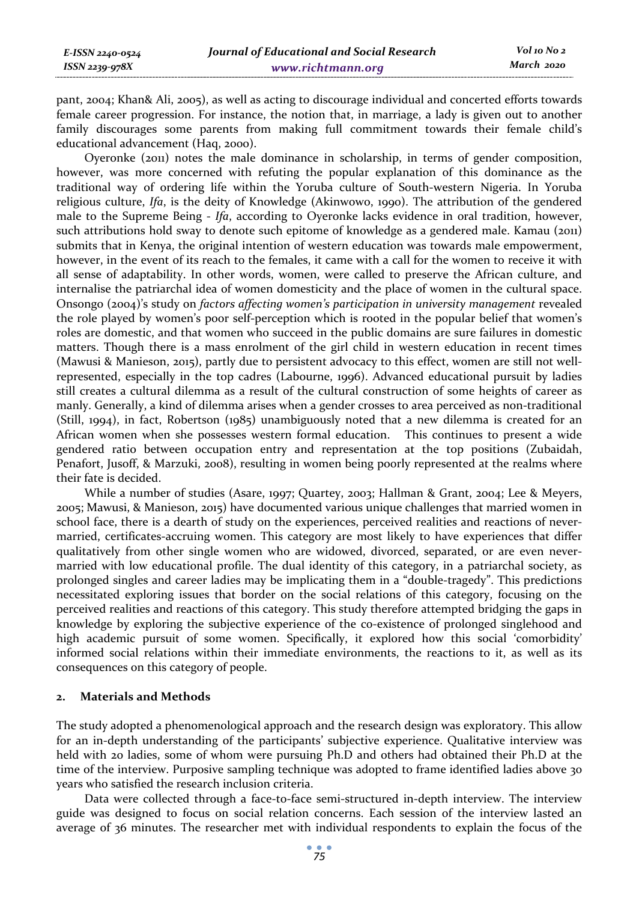pant, 2004; Khan& Ali, 2005), as well as acting to discourage individual and concerted efforts towards female career progression. For instance, the notion that, in marriage, a lady is given out to another family discourages some parents from making full commitment towards their female child's educational advancement (Haq, 2000).

Oyeronke (2011) notes the male dominance in scholarship, in terms of gender composition, however, was more concerned with refuting the popular explanation of this dominance as the traditional way of ordering life within the Yoruba culture of South-western Nigeria. In Yoruba religious culture, *Ifa*, is the deity of Knowledge (Akinwowo, 1990). The attribution of the gendered male to the Supreme Being - *Ifa*, according to Oyeronke lacks evidence in oral tradition, however, such attributions hold sway to denote such epitome of knowledge as a gendered male. Kamau (2011) submits that in Kenya, the original intention of western education was towards male empowerment, however, in the event of its reach to the females, it came with a call for the women to receive it with all sense of adaptability. In other words, women, were called to preserve the African culture, and internalise the patriarchal idea of women domesticity and the place of women in the cultural space. Onsongo (2004)'s study on *factors affecting women's participation in university management* revealed the role played by women's poor self-perception which is rooted in the popular belief that women's roles are domestic, and that women who succeed in the public domains are sure failures in domestic matters. Though there is a mass enrolment of the girl child in western education in recent times (Mawusi & Manieson, 2015), partly due to persistent advocacy to this effect, women are still not wellrepresented, especially in the top cadres (Labourne, 1996). Advanced educational pursuit by ladies still creates a cultural dilemma as a result of the cultural construction of some heights of career as manly. Generally, a kind of dilemma arises when a gender crosses to area perceived as non-traditional (Still, 1994), in fact, Robertson (1985) unambiguously noted that a new dilemma is created for an African women when she possesses western formal education. This continues to present a wide gendered ratio between occupation entry and representation at the top positions (Zubaidah, Penafort, Jusoff, & Marzuki, 2008), resulting in women being poorly represented at the realms where their fate is decided.

While a number of studies (Asare, 1997; Quartey, 2003; Hallman & Grant, 2004; Lee & Meyers, 2005; Mawusi, & Manieson, 2015) have documented various unique challenges that married women in school face, there is a dearth of study on the experiences, perceived realities and reactions of nevermarried, certificates-accruing women. This category are most likely to have experiences that differ qualitatively from other single women who are widowed, divorced, separated, or are even nevermarried with low educational profile. The dual identity of this category, in a patriarchal society, as prolonged singles and career ladies may be implicating them in a "double-tragedy". This predictions necessitated exploring issues that border on the social relations of this category, focusing on the perceived realities and reactions of this category. This study therefore attempted bridging the gaps in knowledge by exploring the subjective experience of the co-existence of prolonged singlehood and high academic pursuit of some women. Specifically, it explored how this social 'comorbidity' informed social relations within their immediate environments, the reactions to it, as well as its consequences on this category of people.

### **2. Materials and Methods**

The study adopted a phenomenological approach and the research design was exploratory. This allow for an in-depth understanding of the participants' subjective experience. Qualitative interview was held with 20 ladies, some of whom were pursuing Ph.D and others had obtained their Ph.D at the time of the interview. Purposive sampling technique was adopted to frame identified ladies above 30 years who satisfied the research inclusion criteria.

Data were collected through a face-to-face semi-structured in-depth interview. The interview guide was designed to focus on social relation concerns. Each session of the interview lasted an average of 36 minutes. The researcher met with individual respondents to explain the focus of the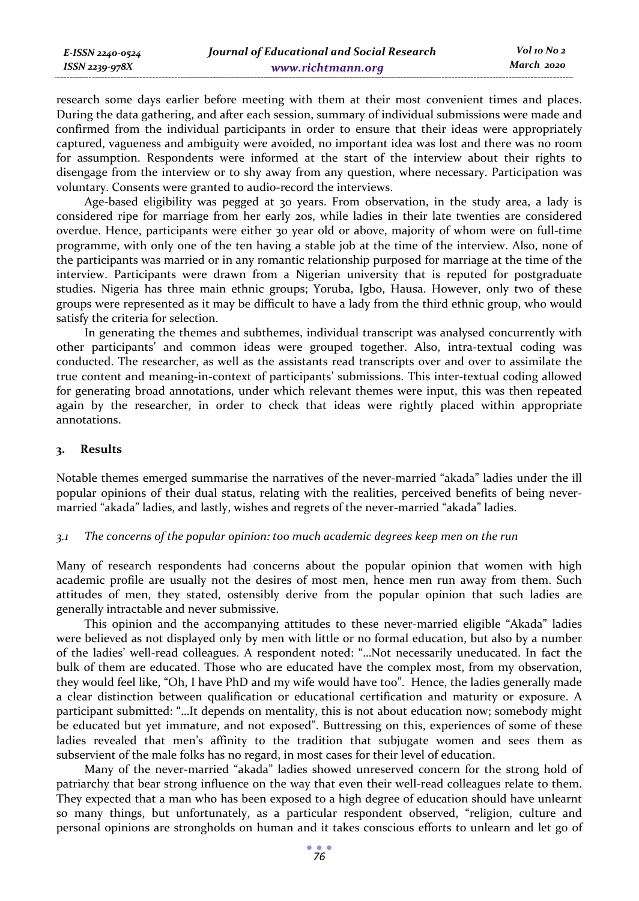| E-ISSN 2240-0524 | Journal of Educational and Social Research | Vol 10 No 2 |
|------------------|--------------------------------------------|-------------|
| ISSN 2239-978X   | www.richtmann.org                          | March 2020  |

research some days earlier before meeting with them at their most convenient times and places. During the data gathering, and after each session, summary of individual submissions were made and confirmed from the individual participants in order to ensure that their ideas were appropriately captured, vagueness and ambiguity were avoided, no important idea was lost and there was no room for assumption. Respondents were informed at the start of the interview about their rights to disengage from the interview or to shy away from any question, where necessary. Participation was voluntary. Consents were granted to audio-record the interviews.

Age-based eligibility was pegged at 30 years. From observation, in the study area, a lady is considered ripe for marriage from her early 20s, while ladies in their late twenties are considered overdue. Hence, participants were either 30 year old or above, majority of whom were on full-time programme, with only one of the ten having a stable job at the time of the interview. Also, none of the participants was married or in any romantic relationship purposed for marriage at the time of the interview. Participants were drawn from a Nigerian university that is reputed for postgraduate studies. Nigeria has three main ethnic groups; Yoruba, Igbo, Hausa. However, only two of these groups were represented as it may be difficult to have a lady from the third ethnic group, who would satisfy the criteria for selection.

In generating the themes and subthemes, individual transcript was analysed concurrently with other participants' and common ideas were grouped together. Also, intra-textual coding was conducted. The researcher, as well as the assistants read transcripts over and over to assimilate the true content and meaning-in-context of participants' submissions. This inter-textual coding allowed for generating broad annotations, under which relevant themes were input, this was then repeated again by the researcher, in order to check that ideas were rightly placed within appropriate annotations.

### **3. Results**

Notable themes emerged summarise the narratives of the never-married "akada" ladies under the ill popular opinions of their dual status, relating with the realities, perceived benefits of being nevermarried "akada" ladies, and lastly, wishes and regrets of the never-married "akada" ladies.

#### *3.1 The concerns of the popular opinion: too much academic degrees keep men on the run*

Many of research respondents had concerns about the popular opinion that women with high academic profile are usually not the desires of most men, hence men run away from them. Such attitudes of men, they stated, ostensibly derive from the popular opinion that such ladies are generally intractable and never submissive.

This opinion and the accompanying attitudes to these never-married eligible "Akada" ladies were believed as not displayed only by men with little or no formal education, but also by a number of the ladies' well-read colleagues. A respondent noted: "…Not necessarily uneducated. In fact the bulk of them are educated. Those who are educated have the complex most, from my observation, they would feel like, "Oh, I have PhD and my wife would have too". Hence, the ladies generally made a clear distinction between qualification or educational certification and maturity or exposure. A participant submitted: "…It depends on mentality, this is not about education now; somebody might be educated but yet immature, and not exposed". Buttressing on this, experiences of some of these ladies revealed that men's affinity to the tradition that subjugate women and sees them as subservient of the male folks has no regard, in most cases for their level of education.

Many of the never-married "akada" ladies showed unreserved concern for the strong hold of patriarchy that bear strong influence on the way that even their well-read colleagues relate to them. They expected that a man who has been exposed to a high degree of education should have unlearnt so many things, but unfortunately, as a particular respondent observed, "religion, culture and personal opinions are strongholds on human and it takes conscious efforts to unlearn and let go of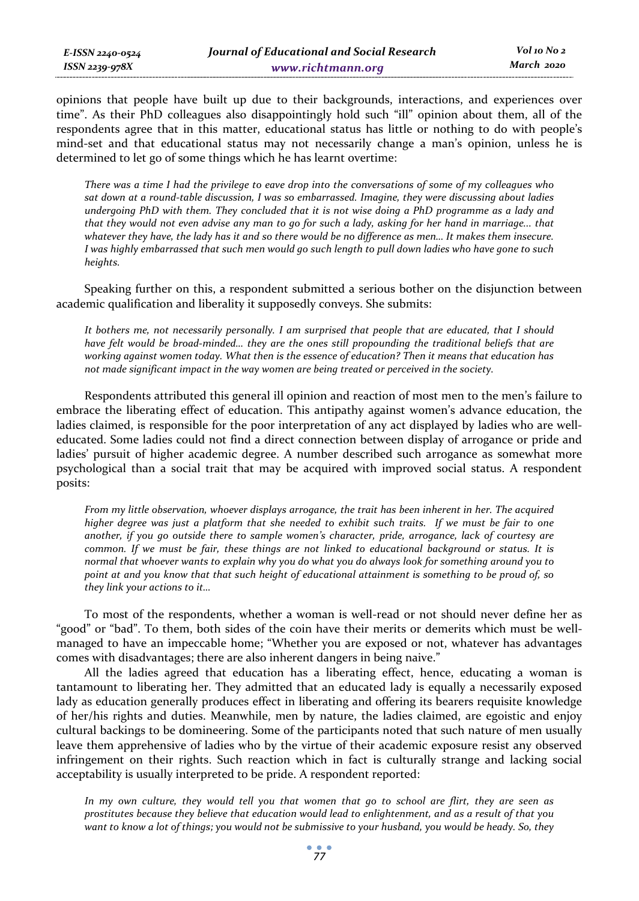opinions that people have built up due to their backgrounds, interactions, and experiences over time". As their PhD colleagues also disappointingly hold such "ill" opinion about them, all of the respondents agree that in this matter, educational status has little or nothing to do with people's mind-set and that educational status may not necessarily change a man's opinion, unless he is determined to let go of some things which he has learnt overtime:

*There was a time I had the privilege to eave drop into the conversations of some of my colleagues who sat down at a round-table discussion, I was so embarrassed. Imagine, they were discussing about ladies undergoing PhD with them. They concluded that it is not wise doing a PhD programme as a lady and that they would not even advise any man to go for such a lady, asking for her hand in marriage... that*  whatever they have, the lady has it and so there would be no difference as men... It makes them insecure. *I was highly embarrassed that such men would go such length to pull down ladies who have gone to such heights.* 

Speaking further on this, a respondent submitted a serious bother on the disjunction between academic qualification and liberality it supposedly conveys. She submits:

*It bothers me, not necessarily personally. I am surprised that people that are educated, that I should have felt would be broad-minded… they are the ones still propounding the traditional beliefs that are working against women today. What then is the essence of education? Then it means that education has not made significant impact in the way women are being treated or perceived in the society.* 

Respondents attributed this general ill opinion and reaction of most men to the men's failure to embrace the liberating effect of education. This antipathy against women's advance education, the ladies claimed, is responsible for the poor interpretation of any act displayed by ladies who are welleducated. Some ladies could not find a direct connection between display of arrogance or pride and ladies' pursuit of higher academic degree. A number described such arrogance as somewhat more psychological than a social trait that may be acquired with improved social status. A respondent posits:

*From my little observation, whoever displays arrogance, the trait has been inherent in her. The acquired higher degree was just a platform that she needed to exhibit such traits. If we must be fair to one another, if you go outside there to sample women's character, pride, arrogance, lack of courtesy are common. If we must be fair, these things are not linked to educational background or status. It is normal that whoever wants to explain why you do what you do always look for something around you to point at and you know that that such height of educational attainment is something to be proud of, so they link your actions to it…* 

To most of the respondents, whether a woman is well-read or not should never define her as "good" or "bad". To them, both sides of the coin have their merits or demerits which must be wellmanaged to have an impeccable home; "Whether you are exposed or not, whatever has advantages comes with disadvantages; there are also inherent dangers in being naive."

All the ladies agreed that education has a liberating effect, hence, educating a woman is tantamount to liberating her. They admitted that an educated lady is equally a necessarily exposed lady as education generally produces effect in liberating and offering its bearers requisite knowledge of her/his rights and duties. Meanwhile, men by nature, the ladies claimed, are egoistic and enjoy cultural backings to be domineering. Some of the participants noted that such nature of men usually leave them apprehensive of ladies who by the virtue of their academic exposure resist any observed infringement on their rights. Such reaction which in fact is culturally strange and lacking social acceptability is usually interpreted to be pride. A respondent reported:

*In my own culture, they would tell you that women that go to school are flirt, they are seen as prostitutes because they believe that education would lead to enlightenment, and as a result of that you want to know a lot of things; you would not be submissive to your husband, you would be heady. So, they*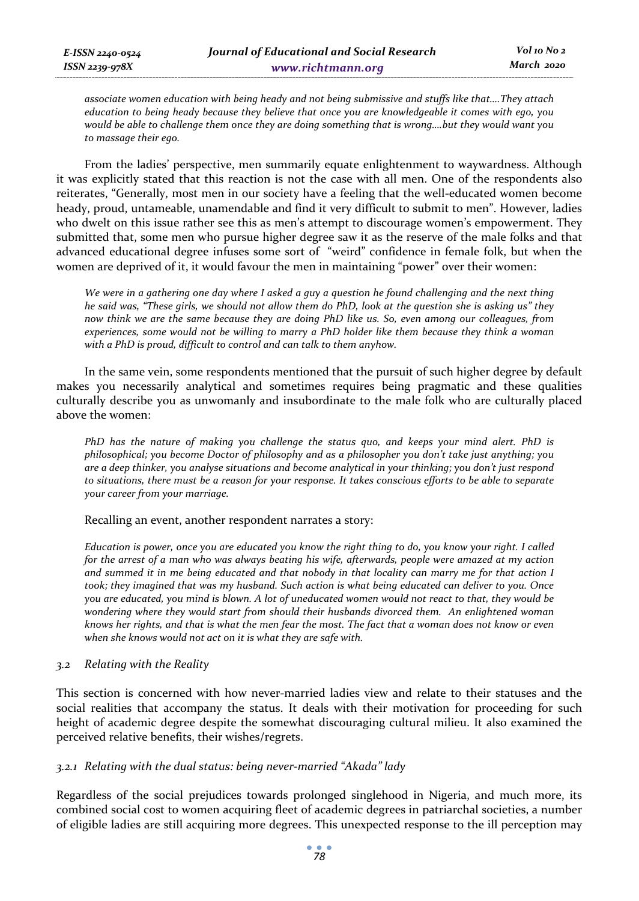*associate women education with being heady and not being submissive and stuffs like that….They attach education to being heady because they believe that once you are knowledgeable it comes with ego, you would be able to challenge them once they are doing something that is wrong….but they would want you to massage their ego.* 

From the ladies' perspective, men summarily equate enlightenment to waywardness. Although it was explicitly stated that this reaction is not the case with all men. One of the respondents also reiterates, "Generally, most men in our society have a feeling that the well-educated women become heady, proud, untameable, unamendable and find it very difficult to submit to men". However, ladies who dwelt on this issue rather see this as men's attempt to discourage women's empowerment. They submitted that, some men who pursue higher degree saw it as the reserve of the male folks and that advanced educational degree infuses some sort of "weird" confidence in female folk, but when the women are deprived of it, it would favour the men in maintaining "power" over their women:

*We were in a gathering one day where I asked a guy a question he found challenging and the next thing he said was, "These girls, we should not allow them do PhD, look at the question she is asking us" they now think we are the same because they are doing PhD like us. So, even among our colleagues, from experiences, some would not be willing to marry a PhD holder like them because they think a woman with a PhD is proud, difficult to control and can talk to them anyhow.* 

In the same vein, some respondents mentioned that the pursuit of such higher degree by default makes you necessarily analytical and sometimes requires being pragmatic and these qualities culturally describe you as unwomanly and insubordinate to the male folk who are culturally placed above the women:

*PhD has the nature of making you challenge the status quo, and keeps your mind alert. PhD is philosophical; you become Doctor of philosophy and as a philosopher you don't take just anything; you are a deep thinker, you analyse situations and become analytical in your thinking; you don't just respond to situations, there must be a reason for your response. It takes conscious efforts to be able to separate your career from your marriage.* 

Recalling an event, another respondent narrates a story:

*Education is power, once you are educated you know the right thing to do, you know your right. I called for the arrest of a man who was always beating his wife, afterwards, people were amazed at my action and summed it in me being educated and that nobody in that locality can marry me for that action I took; they imagined that was my husband. Such action is what being educated can deliver to you. Once you are educated, you mind is blown. A lot of uneducated women would not react to that, they would be wondering where they would start from should their husbands divorced them. An enlightened woman knows her rights, and that is what the men fear the most. The fact that a woman does not know or even when she knows would not act on it is what they are safe with.* 

### *3.2 Relating with the Reality*

This section is concerned with how never-married ladies view and relate to their statuses and the social realities that accompany the status. It deals with their motivation for proceeding for such height of academic degree despite the somewhat discouraging cultural milieu. It also examined the perceived relative benefits, their wishes/regrets.

### *3.2.1 Relating with the dual status: being never-married "Akada" lady*

Regardless of the social prejudices towards prolonged singlehood in Nigeria, and much more, its combined social cost to women acquiring fleet of academic degrees in patriarchal societies, a number of eligible ladies are still acquiring more degrees. This unexpected response to the ill perception may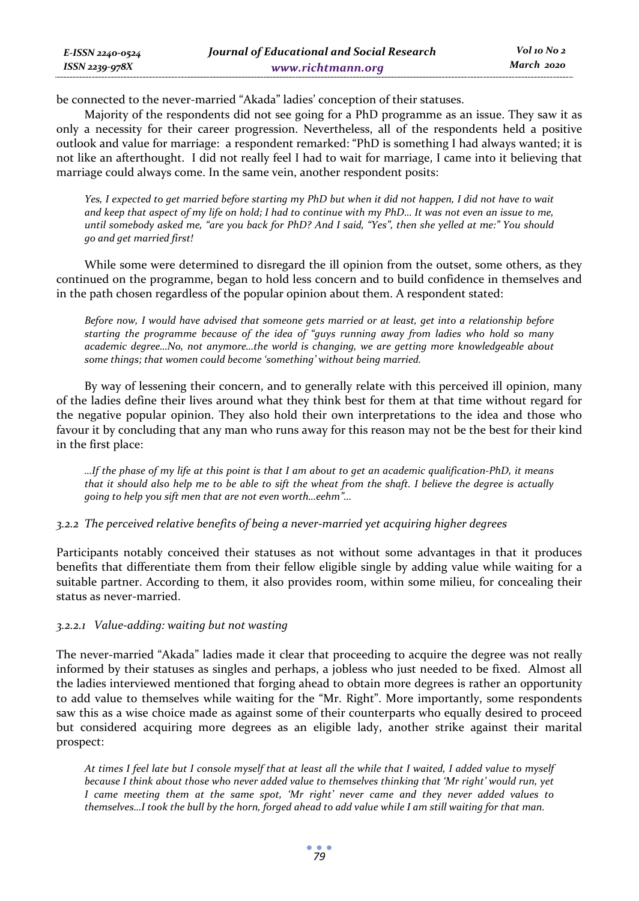| E-ISSN 2240-0524 | Journal of Educational and Social Research | Vol 10 No 2 |
|------------------|--------------------------------------------|-------------|
| ISSN 2239-978X   | www.richtmann.org                          | March 2020  |

be connected to the never-married "Akada" ladies' conception of their statuses.

Majority of the respondents did not see going for a PhD programme as an issue. They saw it as only a necessity for their career progression. Nevertheless, all of the respondents held a positive outlook and value for marriage: a respondent remarked: "PhD is something I had always wanted; it is not like an afterthought. I did not really feel I had to wait for marriage, I came into it believing that marriage could always come. In the same vein, another respondent posits:

*Yes, I expected to get married before starting my PhD but when it did not happen, I did not have to wait and keep that aspect of my life on hold; I had to continue with my PhD… It was not even an issue to me, until somebody asked me, "are you back for PhD? And I said, "Yes", then she yelled at me:" You should go and get married first!* 

While some were determined to disregard the ill opinion from the outset, some others, as they continued on the programme, began to hold less concern and to build confidence in themselves and in the path chosen regardless of the popular opinion about them. A respondent stated:

*Before now, I would have advised that someone gets married or at least, get into a relationship before starting the programme because of the idea of "guys running away from ladies who hold so many academic degree…No, not anymore…the world is changing, we are getting more knowledgeable about some things; that women could become 'something' without being married.* 

By way of lessening their concern, and to generally relate with this perceived ill opinion, many of the ladies define their lives around what they think best for them at that time without regard for the negative popular opinion. They also hold their own interpretations to the idea and those who favour it by concluding that any man who runs away for this reason may not be the best for their kind in the first place:

*…If the phase of my life at this point is that I am about to get an academic qualification-PhD, it means that it should also help me to be able to sift the wheat from the shaft. I believe the degree is actually going to help you sift men that are not even worth…eehm"…* 

*3.2.2 The perceived relative benefits of being a never-married yet acquiring higher degrees* 

Participants notably conceived their statuses as not without some advantages in that it produces benefits that differentiate them from their fellow eligible single by adding value while waiting for a suitable partner. According to them, it also provides room, within some milieu, for concealing their status as never-married.

### *3.2.2.1 Value-adding: waiting but not wasting*

The never-married "Akada" ladies made it clear that proceeding to acquire the degree was not really informed by their statuses as singles and perhaps, a jobless who just needed to be fixed. Almost all the ladies interviewed mentioned that forging ahead to obtain more degrees is rather an opportunity to add value to themselves while waiting for the "Mr. Right". More importantly, some respondents saw this as a wise choice made as against some of their counterparts who equally desired to proceed but considered acquiring more degrees as an eligible lady, another strike against their marital prospect:

*At times I feel late but I console myself that at least all the while that I waited, I added value to myself because I think about those who never added value to themselves thinking that 'Mr right' would run, yet I came meeting them at the same spot, 'Mr right' never came and they never added values to themselves…I took the bull by the horn, forged ahead to add value while I am still waiting for that man.*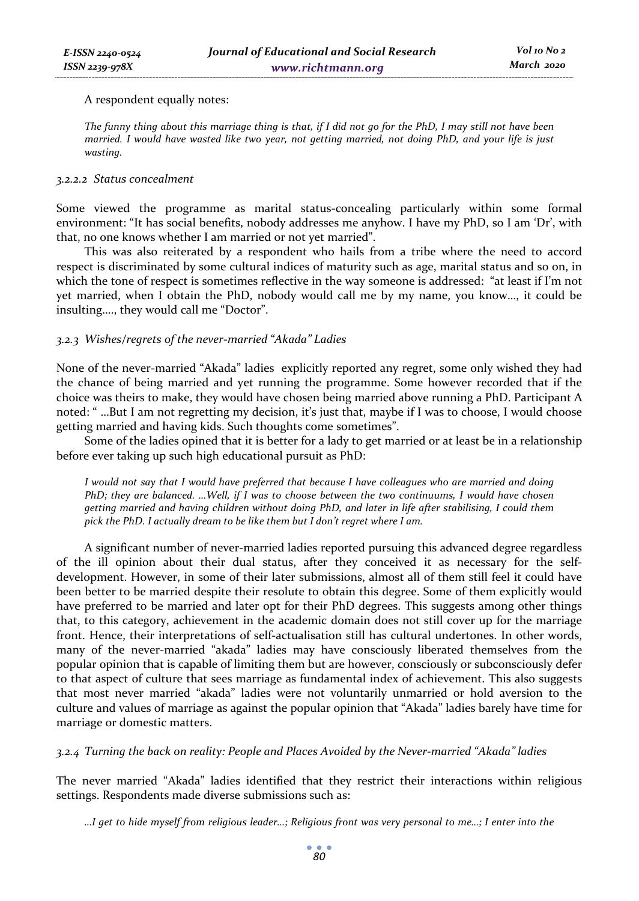### A respondent equally notes:

*The funny thing about this marriage thing is that, if I did not go for the PhD, I may still not have been married. I would have wasted like two year, not getting married, not doing PhD, and your life is just wasting.* 

#### *3.2.2.2 Status concealment*

Some viewed the programme as marital status-concealing particularly within some formal environment: "It has social benefits, nobody addresses me anyhow. I have my PhD, so I am 'Dr', with that, no one knows whether I am married or not yet married".

This was also reiterated by a respondent who hails from a tribe where the need to accord respect is discriminated by some cultural indices of maturity such as age, marital status and so on, in which the tone of respect is sometimes reflective in the way someone is addressed: "at least if I'm not yet married, when I obtain the PhD, nobody would call me by my name, you know…, it could be insulting…., they would call me "Doctor".

### *3.2.3 Wishes/regrets of the never-married "Akada" Ladies*

None of the never-married "Akada" ladies explicitly reported any regret, some only wished they had the chance of being married and yet running the programme. Some however recorded that if the choice was theirs to make, they would have chosen being married above running a PhD. Participant A noted: " …But I am not regretting my decision, it's just that, maybe if I was to choose, I would choose getting married and having kids. Such thoughts come sometimes".

Some of the ladies opined that it is better for a lady to get married or at least be in a relationship before ever taking up such high educational pursuit as PhD:

*I would not say that I would have preferred that because I have colleagues who are married and doing PhD; they are balanced. …Well, if I was to choose between the two continuums, I would have chosen getting married and having children without doing PhD, and later in life after stabilising, I could them pick the PhD. I actually dream to be like them but I don't regret where I am.* 

A significant number of never-married ladies reported pursuing this advanced degree regardless of the ill opinion about their dual status, after they conceived it as necessary for the selfdevelopment. However, in some of their later submissions, almost all of them still feel it could have been better to be married despite their resolute to obtain this degree. Some of them explicitly would have preferred to be married and later opt for their PhD degrees. This suggests among other things that, to this category, achievement in the academic domain does not still cover up for the marriage front. Hence, their interpretations of self-actualisation still has cultural undertones. In other words, many of the never-married "akada" ladies may have consciously liberated themselves from the popular opinion that is capable of limiting them but are however, consciously or subconsciously defer to that aspect of culture that sees marriage as fundamental index of achievement. This also suggests that most never married "akada" ladies were not voluntarily unmarried or hold aversion to the culture and values of marriage as against the popular opinion that "Akada" ladies barely have time for marriage or domestic matters.

*3.2.4 Turning the back on reality: People and Places Avoided by the Never-married "Akada" ladies* 

The never married "Akada" ladies identified that they restrict their interactions within religious settings. Respondents made diverse submissions such as:

*…I get to hide myself from religious leader…; Religious front was very personal to me…; I enter into the*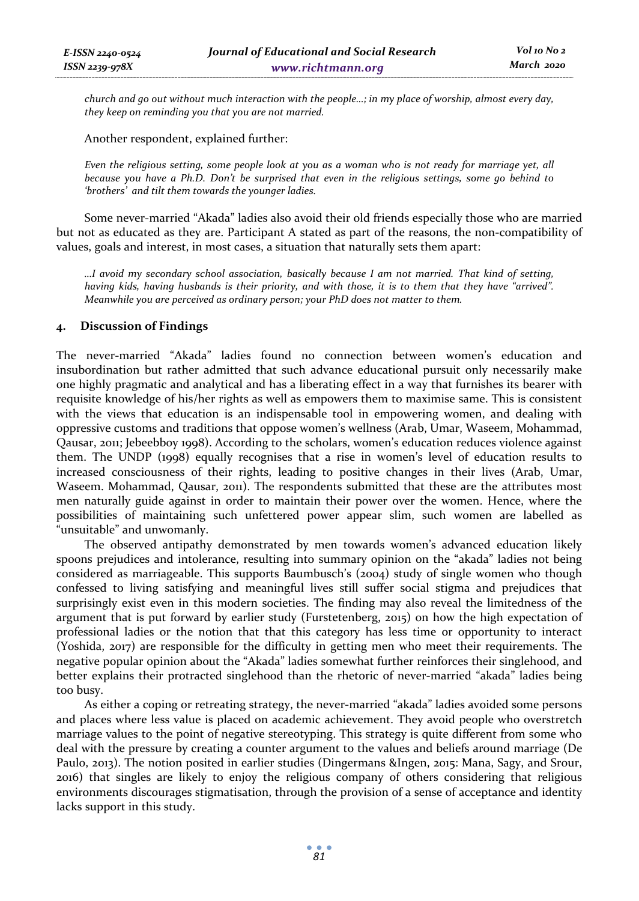*church and go out without much interaction with the people…; in my place of worship, almost every day, they keep on reminding you that you are not married.* 

Another respondent, explained further:

*Even the religious setting, some people look at you as a woman who is not ready for marriage yet, all because you have a Ph.D. Don't be surprised that even in the religious settings, some go behind to 'brothers' and tilt them towards the younger ladies.* 

Some never-married "Akada" ladies also avoid their old friends especially those who are married but not as educated as they are. Participant A stated as part of the reasons, the non-compatibility of values, goals and interest, in most cases, a situation that naturally sets them apart:

*…I avoid my secondary school association, basically because I am not married. That kind of setting, having kids, having husbands is their priority, and with those, it is to them that they have "arrived". Meanwhile you are perceived as ordinary person; your PhD does not matter to them.* 

### **4. Discussion of Findings**

The never-married "Akada" ladies found no connection between women's education and insubordination but rather admitted that such advance educational pursuit only necessarily make one highly pragmatic and analytical and has a liberating effect in a way that furnishes its bearer with requisite knowledge of his/her rights as well as empowers them to maximise same. This is consistent with the views that education is an indispensable tool in empowering women, and dealing with oppressive customs and traditions that oppose women's wellness (Arab, Umar, Waseem, Mohammad, Qausar, 2011; Jebeebboy 1998). According to the scholars, women's education reduces violence against them. The UNDP (1998) equally recognises that a rise in women's level of education results to increased consciousness of their rights, leading to positive changes in their lives (Arab, Umar, Waseem. Mohammad, Qausar, 2011). The respondents submitted that these are the attributes most men naturally guide against in order to maintain their power over the women. Hence, where the possibilities of maintaining such unfettered power appear slim, such women are labelled as "unsuitable" and unwomanly.

The observed antipathy demonstrated by men towards women's advanced education likely spoons prejudices and intolerance, resulting into summary opinion on the "akada" ladies not being considered as marriageable. This supports Baumbusch's (2004) study of single women who though confessed to living satisfying and meaningful lives still suffer social stigma and prejudices that surprisingly exist even in this modern societies. The finding may also reveal the limitedness of the argument that is put forward by earlier study (Furstetenberg, 2015) on how the high expectation of professional ladies or the notion that that this category has less time or opportunity to interact (Yoshida, 2017) are responsible for the difficulty in getting men who meet their requirements. The negative popular opinion about the "Akada" ladies somewhat further reinforces their singlehood, and better explains their protracted singlehood than the rhetoric of never-married "akada" ladies being too busy.

As either a coping or retreating strategy, the never-married "akada" ladies avoided some persons and places where less value is placed on academic achievement. They avoid people who overstretch marriage values to the point of negative stereotyping. This strategy is quite different from some who deal with the pressure by creating a counter argument to the values and beliefs around marriage (De Paulo, 2013). The notion posited in earlier studies (Dingermans &Ingen, 2015: Mana, Sagy, and Srour, 2016) that singles are likely to enjoy the religious company of others considering that religious environments discourages stigmatisation, through the provision of a sense of acceptance and identity lacks support in this study.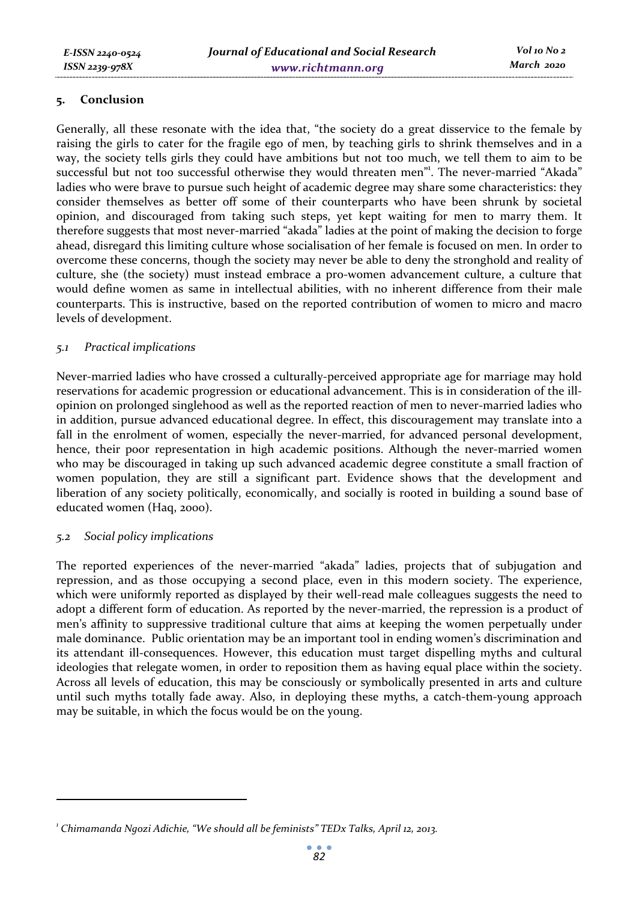### **5. Conclusion**

Generally, all these resonate with the idea that, "the society do a great disservice to the female by raising the girls to cater for the fragile ego of men, by teaching girls to shrink themselves and in a way, the society tells girls they could have ambitions but not too much, we tell them to aim to be successful but not too successful otherwise they would threaten men". The never-married "Akada" ladies who were brave to pursue such height of academic degree may share some characteristics: they consider themselves as better off some of their counterparts who have been shrunk by societal opinion, and discouraged from taking such steps, yet kept waiting for men to marry them. It therefore suggests that most never-married "akada" ladies at the point of making the decision to forge ahead, disregard this limiting culture whose socialisation of her female is focused on men. In order to overcome these concerns, though the society may never be able to deny the stronghold and reality of culture, she (the society) must instead embrace a pro-women advancement culture, a culture that would define women as same in intellectual abilities, with no inherent difference from their male counterparts. This is instructive, based on the reported contribution of women to micro and macro levels of development.

### *5.1 Practical implications*

Never-married ladies who have crossed a culturally-perceived appropriate age for marriage may hold reservations for academic progression or educational advancement. This is in consideration of the illopinion on prolonged singlehood as well as the reported reaction of men to never-married ladies who in addition, pursue advanced educational degree. In effect, this discouragement may translate into a fall in the enrolment of women, especially the never-married, for advanced personal development, hence, their poor representation in high academic positions. Although the never-married women who may be discouraged in taking up such advanced academic degree constitute a small fraction of women population, they are still a significant part. Evidence shows that the development and liberation of any society politically, economically, and socially is rooted in building a sound base of educated women (Haq, 2000).

### *5.2 Social policy implications*

 $\ddot{\phantom{a}}$ 

The reported experiences of the never-married "akada" ladies, projects that of subjugation and repression, and as those occupying a second place, even in this modern society. The experience, which were uniformly reported as displayed by their well-read male colleagues suggests the need to adopt a different form of education. As reported by the never-married, the repression is a product of men's affinity to suppressive traditional culture that aims at keeping the women perpetually under male dominance. Public orientation may be an important tool in ending women's discrimination and its attendant ill-consequences. However, this education must target dispelling myths and cultural ideologies that relegate women, in order to reposition them as having equal place within the society. Across all levels of education, this may be consciously or symbolically presented in arts and culture until such myths totally fade away. Also, in deploying these myths, a catch-them-young approach may be suitable, in which the focus would be on the young.

<sup>&</sup>lt;sup>1</sup> Chimamanda Ngozi Adichie, "We should all be feminists" TEDx Talks, April 12, 2013.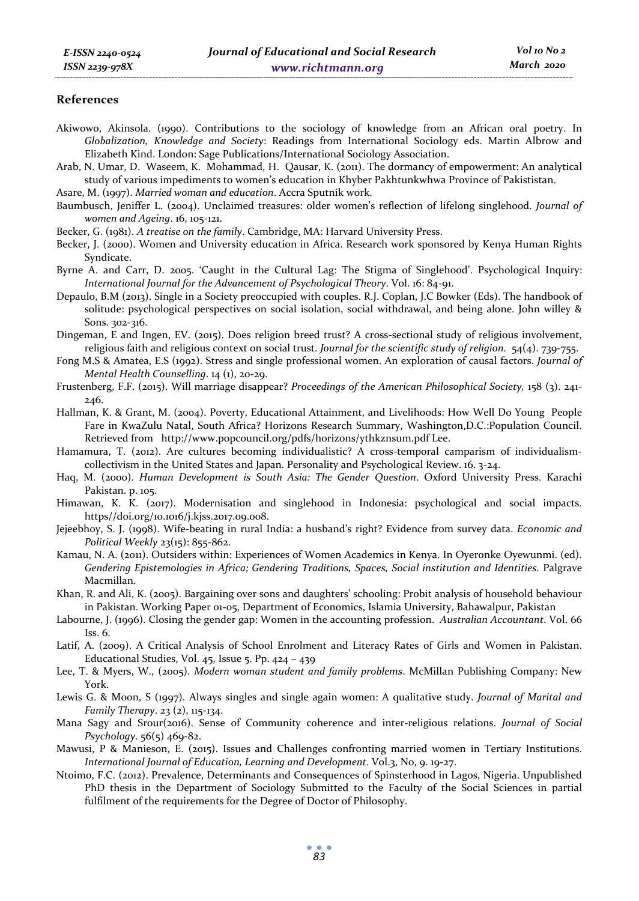#### **References**

- Akiwowo, Akinsola. (1990). Contributions to the sociology of knowledge from an African oral poetry. In *Globalization, Knowledge and Society*: Readings from International Sociology eds. Martin Albrow and Elizabeth Kind. London: Sage Publications/International Sociology Association.
- Arab, N. Umar, D. Waseem, K. Mohammad, H. Qausar, K. (2011). The dormancy of empowerment: An analytical study of various impediments to women's education in Khyber Pakhtunkwhwa Province of Pakististan.
- Asare, M. (1997). *Married woman and education*. Accra Sputnik work.
- Baumbusch, Jeniffer L. (2004). Unclaimed treasures: older women's reflection of lifelong singlehood. *Journal of women and Ageing*. 16, 105-121.
- Becker, G. (1981). *A treatise on the family*. Cambridge, MA: Harvard University Press.
- Becker, J. (2000). Women and University education in Africa. Research work sponsored by Kenya Human Rights Syndicate.
- Byrne A. and Carr, D. 2005. 'Caught in the Cultural Lag: The Stigma of Singlehood'. Psychological Inquiry: *International Journal for the Advancement of Psychological Theory*. Vol. 16: 84-91.
- Depaulo, B.M (2013). Single in a Society preoccupied with couples. R.J. Coplan, J.C Bowker (Eds). The handbook of solitude: psychological perspectives on social isolation, social withdrawal, and being alone. John willey & Sons. 302-316.
- Dingeman, E and Ingen, EV. (2015). Does religion breed trust? A cross-sectional study of religious involvement, religious faith and religious context on social trust. *Journal for the scientific study of religion.* 54(4). 739-755.
- Fong M.S & Amatea, E.S (1992). Stress and single professional women. An exploration of causal factors. *Journal of Mental Health Counselling*. 14 (1), 20-29.
- Frustenberg, F.F. (2015). Will marriage disappear? *Proceedings of the American Philosophical Society,* 158 (3). 241- 246.
- Hallman, K. & Grant, M. (2004). Poverty, Educational Attainment, and Livelihoods: How Well Do Young People Fare in KwaZulu Natal, South Africa? Horizons Research Summary, Washington,D.C.:Population Council. Retrieved from http://www.popcouncil.org/pdfs/horizons/ythkznsum.pdf Lee.
- Hamamura, T. (2012). Are cultures becoming individualistic? A cross-temporal camparism of individualismcollectivism in the United States and Japan. Personality and Psychological Review. 16. 3-24.
- Haq, M. (2000). *Human Development is South Asia: The Gender Question*. Oxford University Press. Karachi Pakistan. p. 105.
- Himawan, K. K. (2017). Modernisation and singlehood in Indonesia: psychological and social impacts. https//doi.org/10.1016/j.kjss.2017.09.008.
- Jejeebhoy, S. J. (1998). Wife-beating in rural India: a husband's right? Evidence from survey data. *Economic and Political Weekly* 23(15): 855-862.
- Kamau, N. A. (2011). Outsiders within: Experiences of Women Academics in Kenya. In Oyeronke Oyewunmi. (ed). *Gendering Epistemologies in Africa; Gendering Traditions, Spaces, Social institution and Identities.* Palgrave Macmillan.
- Khan, R. and Ali, K. (2005). Bargaining over sons and daughters' schooling: Probit analysis of household behaviour in Pakistan. Working Paper 01-05, Department of Economics, Islamia University, Bahawalpur, Pakistan
- Labourne, J. (1996). Closing the gender gap: Women in the accounting profession. *Australian Accountant*. Vol. 66 Iss. 6.
- Latif, A. (2009). A Critical Analysis of School Enrolment and Literacy Rates of Girls and Women in Pakistan. Educational Studies, Vol. 45, Issue 5. Pp.  $424 - 439$
- Lee, T. & Myers, W., (2005). *Modern woman student and family problems*. McMillan Publishing Company: New York.
- Lewis G. & Moon, S (1997). Always singles and single again women: A qualitative study. *Journal of Marital and Family Therapy*. 23 (2), 115-134.
- Mana Sagy and Srour(2016). Sense of Community coherence and inter-religious relations. *Journal of Social Psychology*. 56(5) 469-82.
- Mawusi, P & Manieson, E. (2015). Issues and Challenges confronting married women in Tertiary Institutions. *International Journal of Education, Learning and Development*. Vol.3, No, 9. 19-27.
- Ntoimo, F.C. (2012). Prevalence, Determinants and Consequences of Spinsterhood in Lagos, Nigeria. Unpublished PhD thesis in the Department of Sociology Submitted to the Faculty of the Social Sciences in partial fulfilment of the requirements for the Degree of Doctor of Philosophy.